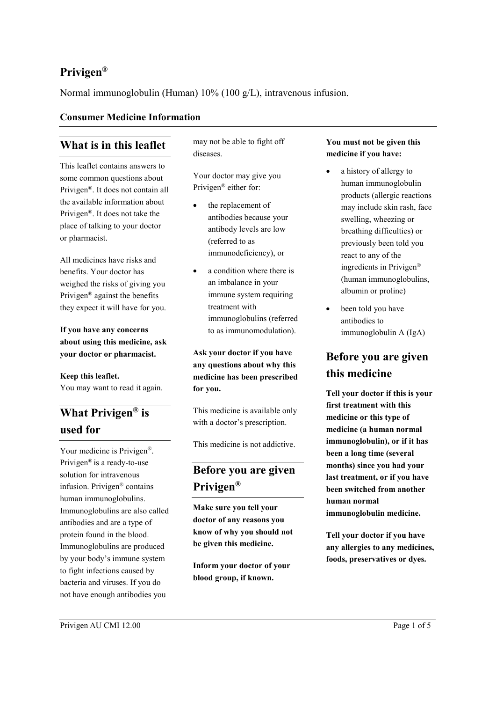## **Privigen®**

Normal immunoglobulin (Human) 10% (100 g/L), intravenous infusion.

### **Consumer Medicine Information**

## **What is in this leaflet**

This leaflet contains answers to some common questions about Privigen®. It does not contain all the available information about Privigen®. It does not take the place of talking to your doctor or pharmacist.

All medicines have risks and benefits. Your doctor has weighed the risks of giving you Privigen® against the benefits they expect it will have for you.

**If you have any concerns about using this medicine, ask your doctor or pharmacist.**

**Keep this leaflet.** You may want to read it again.

# **What Privigen® is used for**

Your medicine is Privigen®. Privigen® is a ready-to-use solution for intravenous infusion. Privigen® contains human immunoglobulins. Immunoglobulins are also called antibodies and are a type of protein found in the blood. Immunoglobulins are produced by your body's immune system to fight infections caused by bacteria and viruses. If you do not have enough antibodies you

may not be able to fight off diseases.

Your doctor may give you Privigen® either for:

- the replacement of antibodies because your antibody levels are low (referred to as immunodeficiency), or
- a condition where there is an imbalance in your immune system requiring treatment with immunoglobulins (referred to as immunomodulation).

**Ask your doctor if you have any questions about why this medicine has been prescribed for you.**

This medicine is available only with a doctor's prescription.

This medicine is not addictive.

# **Before you are given Privigen®**

**Make sure you tell your doctor of any reasons you know of why you should not be given this medicine.**

**Inform your doctor of your blood group, if known.**

#### **You must not be given this medicine if you have:**

- a history of allergy to human immunoglobulin products (allergic reactions may include skin rash, face swelling, wheezing or breathing difficulties) or previously been told you react to any of the ingredients in Privigen® (human immunoglobulins, albumin or proline)
- been told you have antibodies to immunoglobulin A (IgA)

# **Before you are given this medicine**

**Tell your doctor if this is your first treatment with this medicine or this type of medicine (a human normal immunoglobulin), or if it has been a long time (several months) since you had your last treatment, or if you have been switched from another human normal immunoglobulin medicine.**

**Tell your doctor if you have any allergies to any medicines, foods, preservatives or dyes.**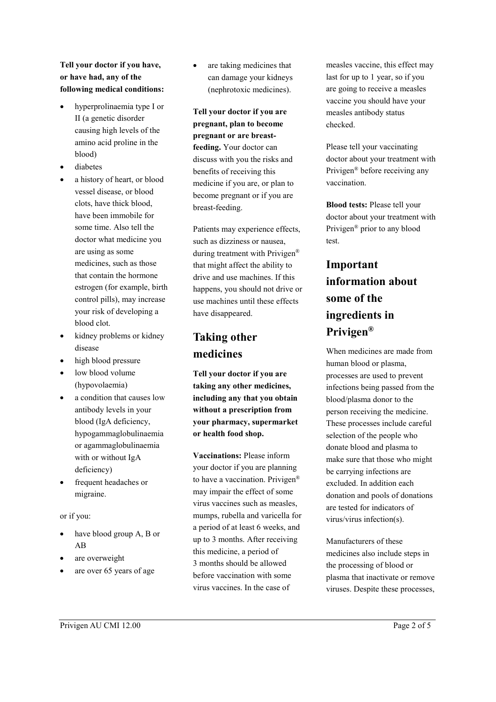### **Tell your doctor if you have, or have had, any of the following medical conditions:**

- hyperprolinaemia type I or II (a genetic disorder causing high levels of the amino acid proline in the blood)
- diabetes
- a history of heart, or blood vessel disease, or blood clots, have thick blood, have been immobile for some time. Also tell the doctor what medicine you are using as some medicines, such as those that contain the hormone estrogen (for example, birth control pills), may increase your risk of developing a blood clot.
- kidney problems or kidney disease
- high blood pressure
- low blood volume (hypovolaemia)
- a condition that causes low antibody levels in your blood (IgA deficiency, hypogammaglobulinaemia or agammaglobulinaemia with or without IgA deficiency)
- frequent headaches or migraine.

#### or if you:

- have blood group A, B or AB
- are overweight
- are over 65 years of age

are taking medicines that can damage your kidneys (nephrotoxic medicines).

**Tell your doctor if you are pregnant, plan to become pregnant or are breastfeeding.** Your doctor can discuss with you the risks and benefits of receiving this medicine if you are, or plan to become pregnant or if you are breast-feeding.

Patients may experience effects, such as dizziness or nausea, during treatment with Privigen® that might affect the ability to drive and use machines. If this happens, you should not drive or use machines until these effects have disappeared.

# **Taking other medicines**

**Tell your doctor if you are taking any other medicines, including any that you obtain without a prescription from your pharmacy, supermarket or health food shop.**

**Vaccinations:** Please inform your doctor if you are planning to have a vaccination. Privigen® may impair the effect of some virus vaccines such as measles, mumps, rubella and varicella for a period of at least 6 weeks, and up to 3 months. After receiving this medicine, a period of 3 months should be allowed before vaccination with some virus vaccines. In the case of

measles vaccine, this effect may last for up to 1 year, so if you are going to receive a measles vaccine you should have your measles antibody status checked.

Please tell your vaccinating doctor about your treatment with Privigen® before receiving any vaccination.

**Blood tests:** Please tell your doctor about your treatment with Privigen® prior to any blood test.

# **Important information about some of the ingredients in Privigen®**

When medicines are made from human blood or plasma, processes are used to prevent infections being passed from the blood/plasma donor to the person receiving the medicine. These processes include careful selection of the people who donate blood and plasma to make sure that those who might be carrying infections are excluded. In addition each donation and pools of donations are tested for indicators of virus/virus infection(s).

Manufacturers of these medicines also include steps in the processing of blood or plasma that inactivate or remove viruses. Despite these processes,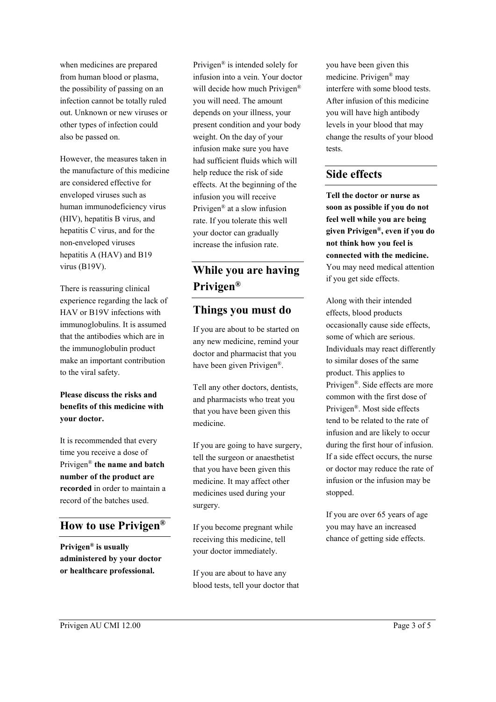when medicines are prepared from human blood or plasma, the possibility of passing on an infection cannot be totally ruled out. Unknown or new viruses or other types of infection could also be passed on.

However, the measures taken in the manufacture of this medicine are considered effective for enveloped viruses such as human immunodeficiency virus (HIV), hepatitis B virus, and hepatitis C virus, and for the non-enveloped viruses hepatitis A (HAV) and B19 virus (B19V).

There is reassuring clinical experience regarding the lack of HAV or B19V infections with immunoglobulins. It is assumed that the antibodies which are in the immunoglobulin product make an important contribution to the viral safety.

#### **Please discuss the risks and benefits of this medicine with your doctor.**

It is recommended that every time you receive a dose of Privigen® **the name and batch number of the product are recorded** in order to maintain a record of the batches used.

## **How to use Privigen®**

**Privigen® is usually administered by your doctor or healthcare professional.**

Privigen® is intended solely for infusion into a vein. Your doctor will decide how much Privigen<sup>®</sup> you will need. The amount depends on your illness, your present condition and your body weight. On the day of your infusion make sure you have had sufficient fluids which will help reduce the risk of side effects. At the beginning of the infusion you will receive Privigen® at a slow infusion rate. If you tolerate this well your doctor can gradually increase the infusion rate.

# **While you are having Privigen®**

### **Things you must do**

If you are about to be started on any new medicine, remind your doctor and pharmacist that you have been given Privigen®.

Tell any other doctors, dentists, and pharmacists who treat you that you have been given this medicine.

If you are going to have surgery, tell the surgeon or anaesthetist that you have been given this medicine. It may affect other medicines used during your surgery.

If you become pregnant while receiving this medicine, tell your doctor immediately.

If you are about to have any blood tests, tell your doctor that you have been given this medicine. Privigen® may interfere with some blood tests. After infusion of this medicine you will have high antibody levels in your blood that may change the results of your blood tests.

### **Side effects**

**Tell the doctor or nurse as soon as possible if you do not feel well while you are being given Privigen®, even if you do not think how you feel is connected with the medicine.** You may need medical attention if you get side effects.

Along with their intended effects, blood products occasionally cause side effects, some of which are serious. Individuals may react differently to similar doses of the same product. This applies to Privigen®. Side effects are more common with the first dose of Privigen®. Most side effects tend to be related to the rate of infusion and are likely to occur during the first hour of infusion. If a side effect occurs, the nurse or doctor may reduce the rate of infusion or the infusion may be stopped.

If you are over 65 years of age you may have an increased chance of getting side effects.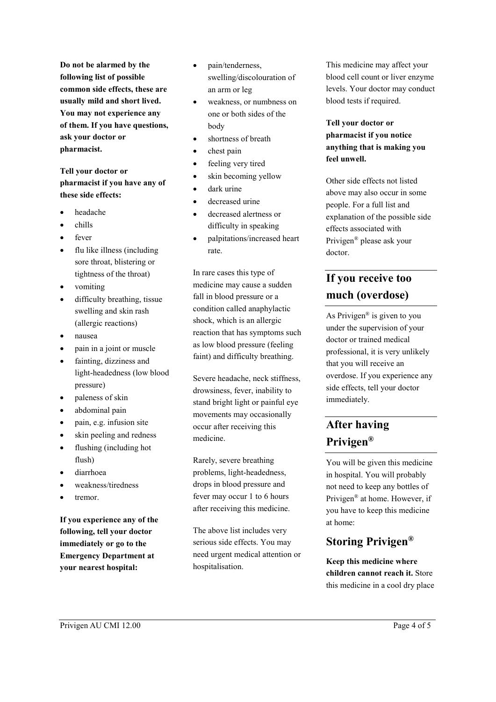**Do not be alarmed by the following list of possible common side effects, these are usually mild and short lived. You may not experience any of them. If you have questions, ask your doctor or pharmacist.**

### **Tell your doctor or pharmacist if you have any of these side effects:**

- headache
- chills
- fever
- flu like illness (including sore throat, blistering or tightness of the throat)
- vomiting
- difficulty breathing, tissue swelling and skin rash (allergic reactions)
- nausea
- pain in a joint or muscle
- fainting, dizziness and light-headedness (low blood pressure)
- paleness of skin
- abdominal pain
- pain, e.g. infusion site
- skin peeling and redness
- flushing (including hot flush)
- diarrhoea
- weakness/tiredness
- tremor.

**If you experience any of the following, tell your doctor immediately or go to the Emergency Department at your nearest hospital:**

- pain/tenderness, swelling/discolouration of an arm or leg
- weakness, or numbness on one or both sides of the body
- shortness of breath
- chest pain
- feeling very tired
- skin becoming yellow
- dark urine
- decreased urine
- decreased alertness or difficulty in speaking
- palpitations/increased heart rate.

In rare cases this type of medicine may cause a sudden fall in blood pressure or a condition called anaphylactic shock, which is an allergic reaction that has symptoms such as low blood pressure (feeling faint) and difficulty breathing.

Severe headache, neck stiffness, drowsiness, fever, inability to stand bright light or painful eye movements may occasionally occur after receiving this medicine.

Rarely, severe breathing problems, light-headedness, drops in blood pressure and fever may occur 1 to 6 hours after receiving this medicine.

The above list includes very serious side effects. You may need urgent medical attention or hospitalisation.

This medicine may affect your blood cell count or liver enzyme levels. Your doctor may conduct blood tests if required.

### **Tell your doctor or pharmacist if you notice anything that is making you feel unwell.**

Other side effects not listed above may also occur in some people. For a full list and explanation of the possible side effects associated with Privigen® please ask your doctor.

# **If you receive too much (overdose)**

As Privigen® is given to you under the supervision of your doctor or trained medical professional, it is very unlikely that you will receive an overdose. If you experience any side effects, tell your doctor immediately.

# **After having Privigen®**

You will be given this medicine in hospital. You will probably not need to keep any bottles of Privigen® at home. However, if you have to keep this medicine at home:

## **Storing Privigen®**

**Keep this medicine where children cannot reach it.** Store this medicine in a cool dry place